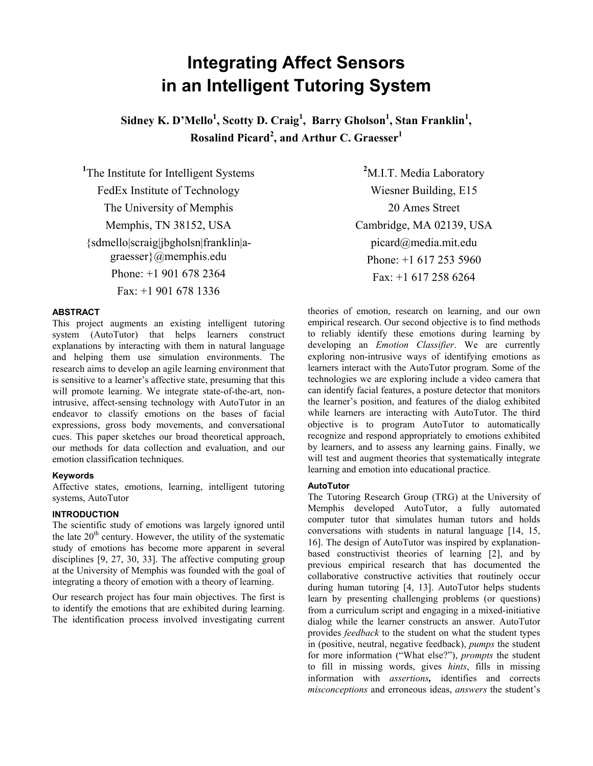# **Integrating Affect Sensors in an Intelligent Tutoring System**

Sidney K. D'Mello<sup>1</sup>, Scotty D. Craig<sup>1</sup>, Barry Gholson<sup>1</sup>, Stan Franklin<sup>1</sup>, **Rosalind Picard2 , and Arthur C. Graesser<sup>1</sup>**

<sup>1</sup>The Institute for Intelligent Systems FedEx Institute of Technology The University of Memphis Memphis, TN 38152, USA {sdmello|scraig|jbgholsn|franklin|agraesser}@memphis.edu Phone: +1 901 678 2364 Fax: +1 901 678 1336

## **ABSTRACT**

This project augments an existing intelligent tutoring system (AutoTutor) that helps learners construct explanations by interacting with them in natural language and helping them use simulation environments. The research aims to develop an agile learning environment that is sensitive to a learner's affective state, presuming that this will promote learning. We integrate state-of-the-art, nonintrusive, affect-sensing technology with AutoTutor in an endeavor to classify emotions on the bases of facial expressions, gross body movements, and conversational cues. This paper sketches our broad theoretical approach, our methods for data collection and evaluation, and our emotion classification techniques.

## **Keywords**

Affective states, emotions, learning, intelligent tutoring systems, AutoTutor

# **INTRODUCTION**

The scientific study of emotions was largely ignored until the late  $20<sup>th</sup>$  century. However, the utility of the systematic study of emotions has become more apparent in several disciplines [9, 27, 30, 33]. The affective computing group at the University of Memphis was founded with the goal of integrating a theory of emotion with a theory of learning.

Our research project has four main objectives. The first is to identify the emotions that are exhibited during learning. The identification process involved investigating current

**2** M.I.T. Media Laboratory Wiesner Building, E15 20 Ames Street Cambridge, MA 02139, USA picard@media.mit.edu Phone: +1 617 253 5960 Fax: +1 617 258 6264

theories of emotion, research on learning, and our own empirical research. Our second objective is to find methods to reliably identify these emotions during learning by developing an *Emotion Classifier*. We are currently exploring non-intrusive ways of identifying emotions as learners interact with the AutoTutor program. Some of the technologies we are exploring include a video camera that can identify facial features, a posture detector that monitors the learner's position, and features of the dialog exhibited while learners are interacting with AutoTutor. The third objective is to program AutoTutor to automatically recognize and respond appropriately to emotions exhibited by learners, and to assess any learning gains. Finally, we will test and augment theories that systematically integrate learning and emotion into educational practice.

# **AutoTutor**

The Tutoring Research Group (TRG) at the University of Memphis developed AutoTutor, a fully automated computer tutor that simulates human tutors and holds conversations with students in natural language [14, 15, 16]. The design of AutoTutor was inspired by explanationbased constructivist theories of learning [2], and by previous empirical research that has documented the collaborative constructive activities that routinely occur during human tutoring [4, 13]. AutoTutor helps students learn by presenting challenging problems (or questions) from a curriculum script and engaging in a mixed-initiative dialog while the learner constructs an answer. AutoTutor provides *feedback* to the student on what the student types in (positive, neutral, negative feedback), *pumps* the student for more information ("What else?"), *prompts* the student to fill in missing words, gives *hints*, fills in missing information with *assertions,* identifies and corrects *misconceptions* and erroneous ideas, *answers* the student's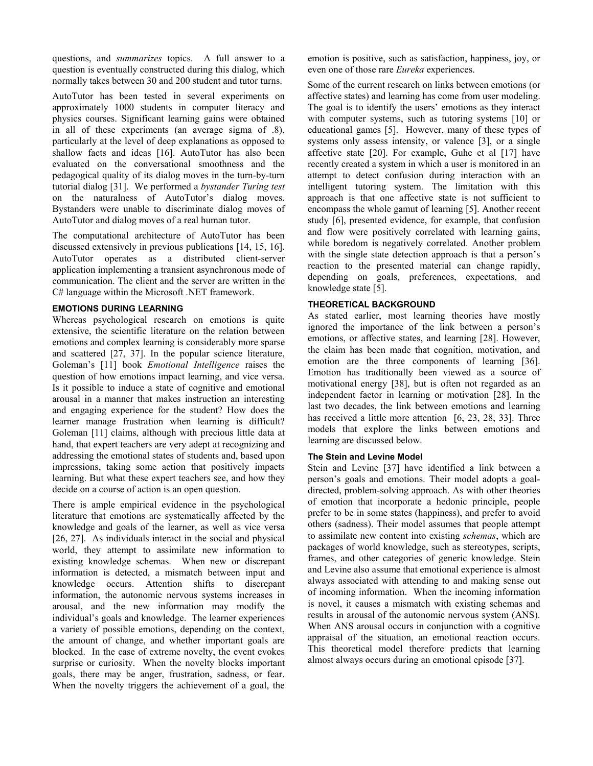questions, and *summarizes* topics. A full answer to a question is eventually constructed during this dialog, which normally takes between 30 and 200 student and tutor turns.

AutoTutor has been tested in several experiments on approximately 1000 students in computer literacy and physics courses. Significant learning gains were obtained in all of these experiments (an average sigma of .8), particularly at the level of deep explanations as opposed to shallow facts and ideas [16]. AutoTutor has also been evaluated on the conversational smoothness and the pedagogical quality of its dialog moves in the turn-by-turn tutorial dialog [31]. We performed a *bystander Turing test* on the naturalness of AutoTutor's dialog moves. Bystanders were unable to discriminate dialog moves of AutoTutor and dialog moves of a real human tutor.

The computational architecture of AutoTutor has been discussed extensively in previous publications [14, 15, 16]. AutoTutor operates as a distributed client-server application implementing a transient asynchronous mode of communication. The client and the server are written in the C# language within the Microsoft .NET framework.

# **EMOTIONS DURING LEARNING**

Whereas psychological research on emotions is quite extensive, the scientific literature on the relation between emotions and complex learning is considerably more sparse and scattered [27, 37]. In the popular science literature, Goleman's [11] book *Emotional Intelligence* raises the question of how emotions impact learning, and vice versa. Is it possible to induce a state of cognitive and emotional arousal in a manner that makes instruction an interesting and engaging experience for the student? How does the learner manage frustration when learning is difficult? Goleman [11] claims, although with precious little data at hand, that expert teachers are very adept at recognizing and addressing the emotional states of students and, based upon impressions, taking some action that positively impacts learning. But what these expert teachers see, and how they decide on a course of action is an open question.

There is ample empirical evidence in the psychological literature that emotions are systematically affected by the knowledge and goals of the learner, as well as vice versa [26, 27]. As individuals interact in the social and physical world, they attempt to assimilate new information to existing knowledge schemas. When new or discrepant information is detected, a mismatch between input and knowledge occurs. Attention shifts to discrepant information, the autonomic nervous systems increases in arousal, and the new information may modify the individual's goals and knowledge. The learner experiences a variety of possible emotions, depending on the context, the amount of change, and whether important goals are blocked. In the case of extreme novelty, the event evokes surprise or curiosity. When the novelty blocks important goals, there may be anger, frustration, sadness, or fear. When the novelty triggers the achievement of a goal, the emotion is positive, such as satisfaction, happiness, joy, or even one of those rare *Eureka* experiences.

Some of the current research on links between emotions (or affective states) and learning has come from user modeling. The goal is to identify the users' emotions as they interact with computer systems, such as tutoring systems [10] or educational games [5]. However, many of these types of systems only assess intensity, or valence [3], or a single affective state [20]. For example, Guhe et al [17] have recently created a system in which a user is monitored in an attempt to detect confusion during interaction with an intelligent tutoring system. The limitation with this approach is that one affective state is not sufficient to encompass the whole gamut of learning [5]. Another recent study [6], presented evidence, for example, that confusion and flow were positively correlated with learning gains, while boredom is negatively correlated. Another problem with the single state detection approach is that a person's reaction to the presented material can change rapidly, depending on goals, preferences, expectations, and knowledge state [5].

## **THEORETICAL BACKGROUND**

As stated earlier, most learning theories have mostly ignored the importance of the link between a person's emotions, or affective states, and learning [28]. However, the claim has been made that cognition, motivation, and emotion are the three components of learning [36]. Emotion has traditionally been viewed as a source of motivational energy [38], but is often not regarded as an independent factor in learning or motivation [28]. In the last two decades, the link between emotions and learning has received a little more attention [6, 23, 28, 33]. Three models that explore the links between emotions and learning are discussed below.

## **The Stein and Levine Model**

Stein and Levine [37] have identified a link between a person's goals and emotions. Their model adopts a goaldirected, problem-solving approach. As with other theories of emotion that incorporate a hedonic principle, people prefer to be in some states (happiness), and prefer to avoid others (sadness). Their model assumes that people attempt to assimilate new content into existing *schemas*, which are packages of world knowledge, such as stereotypes, scripts, frames, and other categories of generic knowledge. Stein and Levine also assume that emotional experience is almost always associated with attending to and making sense out of incoming information. When the incoming information is novel, it causes a mismatch with existing schemas and results in arousal of the autonomic nervous system (ANS). When ANS arousal occurs in conjunction with a cognitive appraisal of the situation, an emotional reaction occurs. This theoretical model therefore predicts that learning almost always occurs during an emotional episode [37].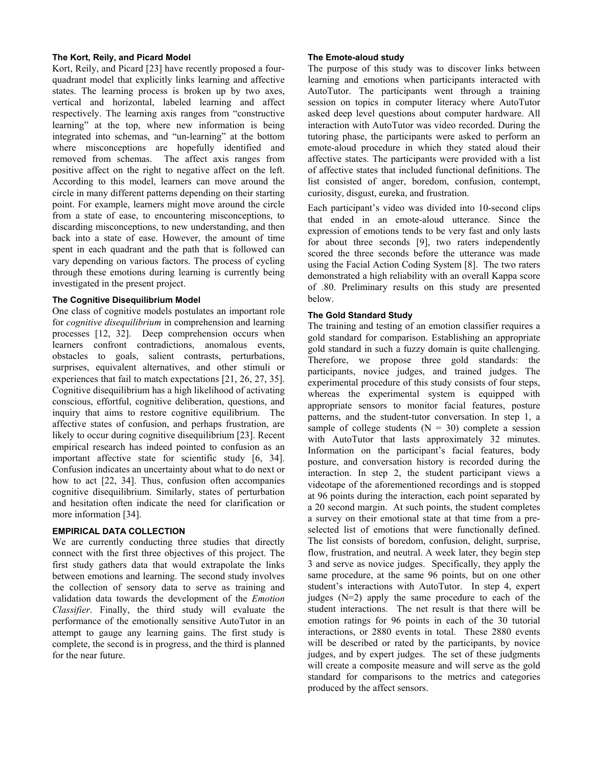### **The Kort, Reily, and Picard Model**

Kort, Reily, and Picard [23] have recently proposed a fourquadrant model that explicitly links learning and affective states. The learning process is broken up by two axes, vertical and horizontal, labeled learning and affect respectively. The learning axis ranges from "constructive learning" at the top, where new information is being integrated into schemas, and "un-learning" at the bottom where misconceptions are hopefully identified and removed from schemas. The affect axis ranges from positive affect on the right to negative affect on the left. According to this model, learners can move around the circle in many different patterns depending on their starting point. For example, learners might move around the circle from a state of ease, to encountering misconceptions, to discarding misconceptions, to new understanding, and then back into a state of ease. However, the amount of time spent in each quadrant and the path that is followed can vary depending on various factors. The process of cycling through these emotions during learning is currently being investigated in the present project.

## **The Cognitive Disequilibrium Model**

One class of cognitive models postulates an important role for *cognitive disequilibrium* in comprehension and learning processes [12, 32]. Deep comprehension occurs when learners confront contradictions, anomalous events, obstacles to goals, salient contrasts, perturbations, surprises, equivalent alternatives, and other stimuli or experiences that fail to match expectations [21, 26, 27, 35]. Cognitive disequilibrium has a high likelihood of activating conscious, effortful, cognitive deliberation, questions, and inquiry that aims to restore cognitive equilibrium. The affective states of confusion, and perhaps frustration, are likely to occur during cognitive disequilibrium [23]. Recent empirical research has indeed pointed to confusion as an important affective state for scientific study [6, 34]. Confusion indicates an uncertainty about what to do next or how to act [22, 34]. Thus, confusion often accompanies cognitive disequilibrium. Similarly, states of perturbation and hesitation often indicate the need for clarification or more information [34].

#### **EMPIRICAL DATA COLLECTION**

We are currently conducting three studies that directly connect with the first three objectives of this project. The first study gathers data that would extrapolate the links between emotions and learning. The second study involves the collection of sensory data to serve as training and validation data towards the development of the *Emotion Classifier*. Finally, the third study will evaluate the performance of the emotionally sensitive AutoTutor in an attempt to gauge any learning gains. The first study is complete, the second is in progress, and the third is planned for the near future.

#### **The Emote-aloud study**

The purpose of this study was to discover links between learning and emotions when participants interacted with AutoTutor. The participants went through a training session on topics in computer literacy where AutoTutor asked deep level questions about computer hardware. All interaction with AutoTutor was video recorded. During the tutoring phase, the participants were asked to perform an emote-aloud procedure in which they stated aloud their affective states. The participants were provided with a list of affective states that included functional definitions. The list consisted of anger, boredom, confusion, contempt, curiosity, disgust, eureka, and frustration.

Each participant's video was divided into 10-second clips that ended in an emote-aloud utterance. Since the expression of emotions tends to be very fast and only lasts for about three seconds [9], two raters independently scored the three seconds before the utterance was made using the Facial Action Coding System [8]. The two raters demonstrated a high reliability with an overall Kappa score of .80. Preliminary results on this study are presented below.

#### **The Gold Standard Study**

The training and testing of an emotion classifier requires a gold standard for comparison. Establishing an appropriate gold standard in such a fuzzy domain is quite challenging. Therefore, we propose three gold standards: the participants, novice judges, and trained judges. The experimental procedure of this study consists of four steps, whereas the experimental system is equipped with appropriate sensors to monitor facial features, posture patterns, and the student-tutor conversation. In step 1, a sample of college students  $(N = 30)$  complete a session with AutoTutor that lasts approximately 32 minutes. Information on the participant's facial features, body posture, and conversation history is recorded during the interaction. In step 2, the student participant views a videotape of the aforementioned recordings and is stopped at 96 points during the interaction, each point separated by a 20 second margin. At such points, the student completes a survey on their emotional state at that time from a preselected list of emotions that were functionally defined. The list consists of boredom, confusion, delight, surprise, flow, frustration, and neutral. A week later, they begin step 3 and serve as novice judges. Specifically, they apply the same procedure, at the same 96 points, but on one other student's interactions with AutoTutor. In step 4, expert judges  $(N=2)$  apply the same procedure to each of the student interactions. The net result is that there will be emotion ratings for 96 points in each of the 30 tutorial interactions, or 2880 events in total. These 2880 events will be described or rated by the participants, by novice judges, and by expert judges. The set of these judgments will create a composite measure and will serve as the gold standard for comparisons to the metrics and categories produced by the affect sensors.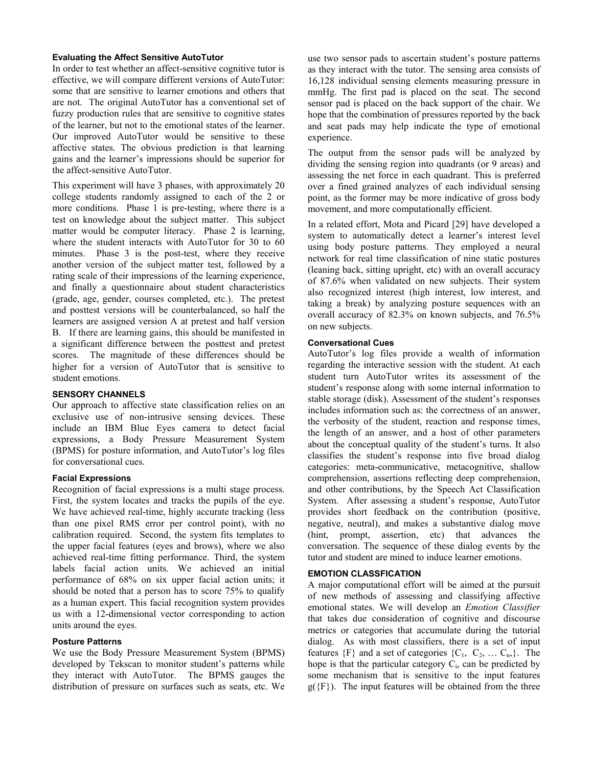#### **Evaluating the Affect Sensitive AutoTutor**

In order to test whether an affect-sensitive cognitive tutor is effective, we will compare different versions of AutoTutor: some that are sensitive to learner emotions and others that are not. The original AutoTutor has a conventional set of fuzzy production rules that are sensitive to cognitive states of the learner, but not to the emotional states of the learner. Our improved AutoTutor would be sensitive to these affective states. The obvious prediction is that learning gains and the learner's impressions should be superior for the affect-sensitive AutoTutor.

This experiment will have 3 phases, with approximately 20 college students randomly assigned to each of the 2 or more conditions. Phase 1 is pre-testing, where there is a test on knowledge about the subject matter. This subject matter would be computer literacy. Phase 2 is learning, where the student interacts with AutoTutor for 30 to 60 minutes. Phase 3 is the post-test, where they receive another version of the subject matter test, followed by a rating scale of their impressions of the learning experience, and finally a questionnaire about student characteristics (grade, age, gender, courses completed, etc.). The pretest and posttest versions will be counterbalanced, so half the learners are assigned version A at pretest and half version B. If there are learning gains, this should be manifested in a significant difference between the posttest and pretest scores. The magnitude of these differences should be higher for a version of AutoTutor that is sensitive to student emotions.

## **SENSORY CHANNELS**

Our approach to affective state classification relies on an exclusive use of non-intrusive sensing devices. These include an IBM Blue Eyes camera to detect facial expressions, a Body Pressure Measurement System (BPMS) for posture information, and AutoTutor's log files for conversational cues.

# **Facial Expressions**

Recognition of facial expressions is a multi stage process. First, the system locates and tracks the pupils of the eye. We have achieved real-time, highly accurate tracking (less than one pixel RMS error per control point), with no calibration required. Second, the system fits templates to the upper facial features (eyes and brows), where we also achieved real-time fitting performance. Third, the system labels facial action units. We achieved an initial performance of 68% on six upper facial action units; it should be noted that a person has to score 75% to qualify as a human expert. This facial recognition system provides us with a 12-dimensional vector corresponding to action units around the eyes.

#### **Posture Patterns**

We use the Body Pressure Measurement System (BPMS) developed by Tekscan to monitor student's patterns while they interact with AutoTutor. The BPMS gauges the distribution of pressure on surfaces such as seats, etc. We

use two sensor pads to ascertain student's posture patterns as they interact with the tutor. The sensing area consists of 16,128 individual sensing elements measuring pressure in mmHg. The first pad is placed on the seat. The second sensor pad is placed on the back support of the chair. We hope that the combination of pressures reported by the back and seat pads may help indicate the type of emotional experience.

The output from the sensor pads will be analyzed by dividing the sensing region into quadrants (or 9 areas) and assessing the net force in each quadrant. This is preferred over a fined grained analyzes of each individual sensing point, as the former may be more indicative of gross body movement, and more computationally efficient.

In a related effort, Mota and Picard [29] have developed a system to automatically detect a learner's interest level using body posture patterns. They employed a neural network for real time classification of nine static postures (leaning back, sitting upright, etc) with an overall accuracy of 87.6% when validated on new subjects. Their system also recognized interest (high interest, low interest, and taking a break) by analyzing posture sequences with an overall accuracy of 82.3% on known subjects, and 76.5% on new subjects.

#### **Conversational Cues**

AutoTutor's log files provide a wealth of information regarding the interactive session with the student. At each student turn AutoTutor writes its assessment of the student's response along with some internal information to stable storage (disk). Assessment of the student's responses includes information such as: the correctness of an answer, the verbosity of the student, reaction and response times, the length of an answer, and a host of other parameters about the conceptual quality of the student's turns. It also classifies the student's response into five broad dialog categories: meta-communicative, metacognitive, shallow comprehension, assertions reflecting deep comprehension, and other contributions, by the Speech Act Classification System. After assessing a student's response, AutoTutor provides short feedback on the contribution (positive, negative, neutral), and makes a substantive dialog move (hint, prompt, assertion, etc) that advances the conversation. The sequence of these dialog events by the tutor and student are mined to induce learner emotions.

#### **EMOTION CLASSFICATION**

A major computational effort will be aimed at the pursuit of new methods of assessing and classifying affective emotional states. We will develop an *Emotion Classifier* that takes due consideration of cognitive and discourse metrics or categories that accumulate during the tutorial dialog. As with most classifiers, there is a set of input features  $\{F\}$  and a set of categories  $\{C_1, C_2, \ldots C_n\}$ . The hope is that the particular category  $C_i$ , can be predicted by some mechanism that is sensitive to the input features  $g({F})$ . The input features will be obtained from the three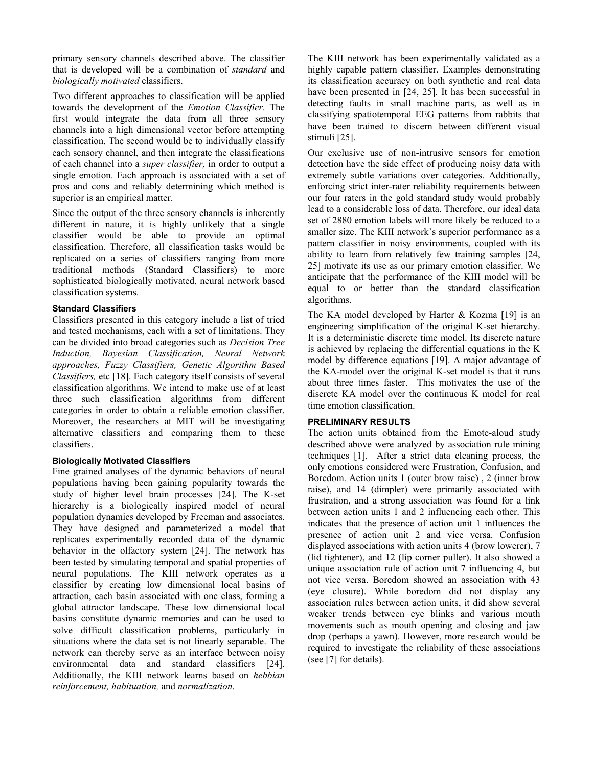primary sensory channels described above. The classifier that is developed will be a combination of *standard* and *biologically motivated* classifiers.

Two different approaches to classification will be applied towards the development of the *Emotion Classifier*. The first would integrate the data from all three sensory channels into a high dimensional vector before attempting classification. The second would be to individually classify each sensory channel, and then integrate the classifications of each channel into a *super classifier,* in order to output a single emotion. Each approach is associated with a set of pros and cons and reliably determining which method is superior is an empirical matter.

Since the output of the three sensory channels is inherently different in nature, it is highly unlikely that a single classifier would be able to provide an optimal classification. Therefore, all classification tasks would be replicated on a series of classifiers ranging from more traditional methods (Standard Classifiers) to more sophisticated biologically motivated, neural network based classification systems.

# **Standard Classifiers**

Classifiers presented in this category include a list of tried and tested mechanisms, each with a set of limitations. They can be divided into broad categories such as *Decision Tree Induction, Bayesian Classification, Neural Network approaches, Fuzzy Classifiers, Genetic Algorithm Based Classifiers,* etc [18]. Each category itself consists of several classification algorithms. We intend to make use of at least three such classification algorithms from different categories in order to obtain a reliable emotion classifier. Moreover, the researchers at MIT will be investigating alternative classifiers and comparing them to these classifiers.

# **Biologically Motivated Classifiers**

Fine grained analyses of the dynamic behaviors of neural populations having been gaining popularity towards the study of higher level brain processes [24]. The K-set hierarchy is a biologically inspired model of neural population dynamics developed by Freeman and associates. They have designed and parameterized a model that replicates experimentally recorded data of the dynamic behavior in the olfactory system [24]. The network has been tested by simulating temporal and spatial properties of neural populations. The KIII network operates as a classifier by creating low dimensional local basins of attraction, each basin associated with one class, forming a global attractor landscape. These low dimensional local basins constitute dynamic memories and can be used to solve difficult classification problems, particularly in situations where the data set is not linearly separable. The network can thereby serve as an interface between noisy environmental data and standard classifiers [24]. Additionally, the KIII network learns based on *hebbian reinforcement, habituation,* and *normalization*.

The KIII network has been experimentally validated as a highly capable pattern classifier. Examples demonstrating its classification accuracy on both synthetic and real data have been presented in [24, 25]. It has been successful in detecting faults in small machine parts, as well as in classifying spatiotemporal EEG patterns from rabbits that have been trained to discern between different visual stimuli [25].

Our exclusive use of non-intrusive sensors for emotion detection have the side effect of producing noisy data with extremely subtle variations over categories. Additionally, enforcing strict inter-rater reliability requirements between our four raters in the gold standard study would probably lead to a considerable loss of data. Therefore, our ideal data set of 2880 emotion labels will more likely be reduced to a smaller size. The KIII network's superior performance as a pattern classifier in noisy environments, coupled with its ability to learn from relatively few training samples [24, 25] motivate its use as our primary emotion classifier. We anticipate that the performance of the KIII model will be equal to or better than the standard classification algorithms.

The KA model developed by Harter  $& Kozma [19]$  is an engineering simplification of the original K-set hierarchy. It is a deterministic discrete time model. Its discrete nature is achieved by replacing the differential equations in the K model by difference equations [19]. A major advantage of the KA-model over the original K-set model is that it runs about three times faster. This motivates the use of the discrete KA model over the continuous K model for real time emotion classification.

#### **PRELIMINARY RESULTS**

The action units obtained from the Emote-aloud study described above were analyzed by association rule mining techniques [1]. After a strict data cleaning process, the only emotions considered were Frustration, Confusion, and Boredom. Action units 1 (outer brow raise) , 2 (inner brow raise), and 14 (dimpler) were primarily associated with frustration, and a strong association was found for a link between action units 1 and 2 influencing each other. This indicates that the presence of action unit 1 influences the presence of action unit 2 and vice versa. Confusion displayed associations with action units 4 (brow lowerer), 7 (lid tightener), and 12 (lip corner puller). It also showed a unique association rule of action unit 7 influencing 4, but not vice versa. Boredom showed an association with 43 (eye closure). While boredom did not display any association rules between action units, it did show several weaker trends between eye blinks and various mouth movements such as mouth opening and closing and jaw drop (perhaps a yawn). However, more research would be required to investigate the reliability of these associations (see [7] for details).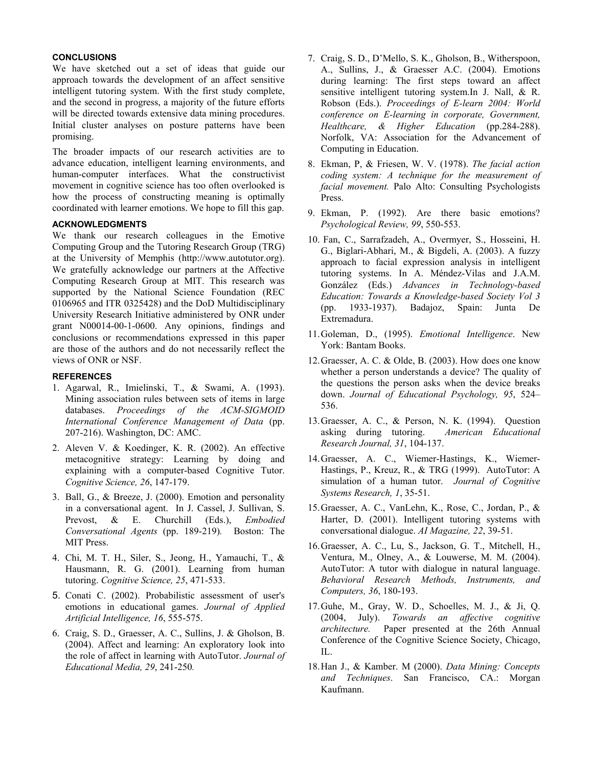## **CONCLUSIONS**

We have sketched out a set of ideas that guide our approach towards the development of an affect sensitive intelligent tutoring system. With the first study complete, and the second in progress, a majority of the future efforts will be directed towards extensive data mining procedures. Initial cluster analyses on posture patterns have been promising.

The broader impacts of our research activities are to advance education, intelligent learning environments, and human-computer interfaces. What the constructivist movement in cognitive science has too often overlooked is how the process of constructing meaning is optimally coordinated with learner emotions. We hope to fill this gap.

#### **ACKNOWLEDGMENTS**

We thank our research colleagues in the Emotive Computing Group and the Tutoring Research Group (TRG) at the University of Memphis (http://www.autotutor.org). We gratefully acknowledge our partners at the Affective Computing Research Group at MIT. This research was supported by the National Science Foundation (REC 0106965 and ITR 0325428) and the DoD Multidisciplinary University Research Initiative administered by ONR under grant N00014-00-1-0600. Any opinions, findings and conclusions or recommendations expressed in this paper are those of the authors and do not necessarily reflect the views of ONR or NSF.

#### **REFERENCES**

- 1. Agarwal, R., Imielinski, T., & Swami, A. (1993). Mining association rules between sets of items in large databases. *Proceedings of the ACM-SIGMOID International Conference Management of Data* (pp. 207-216). Washington, DC: AMC.
- 2. Aleven V. & Koedinger, K. R. (2002). An effective metacognitive strategy: Learning by doing and explaining with a computer-based Cognitive Tutor. *Cognitive Science, 26*, 147-179.
- 3. Ball, G., & Breeze, J. (2000). Emotion and personality in a conversational agent. In J. Cassel, J. Sullivan, S. Prevost, & E. Churchill (Eds.), *Embodied Conversational Agents* (pp. 189-219)*.* Boston: The MIT Press.
- 4. Chi, M. T. H., Siler, S., Jeong, H., Yamauchi, T., & Hausmann, R. G. (2001). Learning from human tutoring. *Cognitive Science, 25*, 471-533.
- 5. Conati C. (2002). Probabilistic assessment of user's emotions in educational games. *Journal of Applied Artificial Intelligence, 16*, 555-575.
- 6. Craig, S. D., Graesser, A. C., Sullins, J. & Gholson, B. (2004). Affect and learning: An exploratory look into the role of affect in learning with AutoTutor. *Journal of Educational Media, 29*, 241-250*.*
- 7. Craig, S. D., D'Mello, S. K., Gholson, B., Witherspoon, A., Sullins, J., & Graesser A.C. (2004). Emotions during learning: The first steps toward an affect sensitive intelligent tutoring system.In J. Nall, & R. Robson (Eds.). *Proceedings of E-learn 2004: World conference on E-learning in corporate, Government, Healthcare, & Higher Education* (pp.284-288). Norfolk, VA: Association for the Advancement of Computing in Education.
- 8. Ekman, P, & Friesen, W. V. (1978). *The facial action coding system: A technique for the measurement of facial movement.* Palo Alto: Consulting Psychologists Press.
- 9. Ekman, P. (1992). Are there basic emotions? *Psychological Review, 99*, 550-553.
- 10. Fan, C., Sarrafzadeh, A., Overmyer, S., Hosseini, H. G., Biglari-Abhari, M., & Bigdeli, A. (2003). A fuzzy approach to facial expression analysis in intelligent tutoring systems. In A. Méndez-Vilas and J.A.M. González (Eds.) *Advances in Technology-based Education: Towards a Knowledge-based Society Vol 3* (pp. 1933-1937). Badajoz, Spain: Junta De Extremadura.
- 11.Goleman, D., (1995). *Emotional Intelligence*. New York: Bantam Books.
- 12.Graesser, A. C. & Olde, B. (2003). How does one know whether a person understands a device? The quality of the questions the person asks when the device breaks down. *Journal of Educational Psychology, 95*, 524– 536.
- 13.Graesser, A. C., & Person, N. K. (1994). Question asking during tutoring. *American Educational Research Journal, 31*, 104-137.
- 14.Graesser, A. C., Wiemer-Hastings, K., Wiemer-Hastings, P., Kreuz, R., & TRG (1999). AutoTutor: A simulation of a human tutor. *Journal of Cognitive Systems Research, 1*, 35-51.
- 15.Graesser, A. C., VanLehn, K., Rose, C., Jordan, P., & Harter, D. (2001). Intelligent tutoring systems with conversational dialogue. *AI Magazine, 22*, 39-51.
- 16.Graesser, A. C., Lu, S., Jackson, G. T., Mitchell, H., Ventura, M., Olney, A., & Louwerse, M. M. (2004). AutoTutor: A tutor with dialogue in natural language. *Behavioral Research Methods, Instruments, and Computers, 36*, 180-193.
- 17.Guhe, M., Gray, W. D., Schoelles, M. J., & Ji, Q. (2004, July). *Towards an affective cognitive architecture.* Paper presented at the 26th Annual Conference of the Cognitive Science Society, Chicago, IL.
- 18.Han J., & Kamber. M (2000). *Data Mining: Concepts and Techniques*. San Francisco, CA.: Morgan Kaufmann.